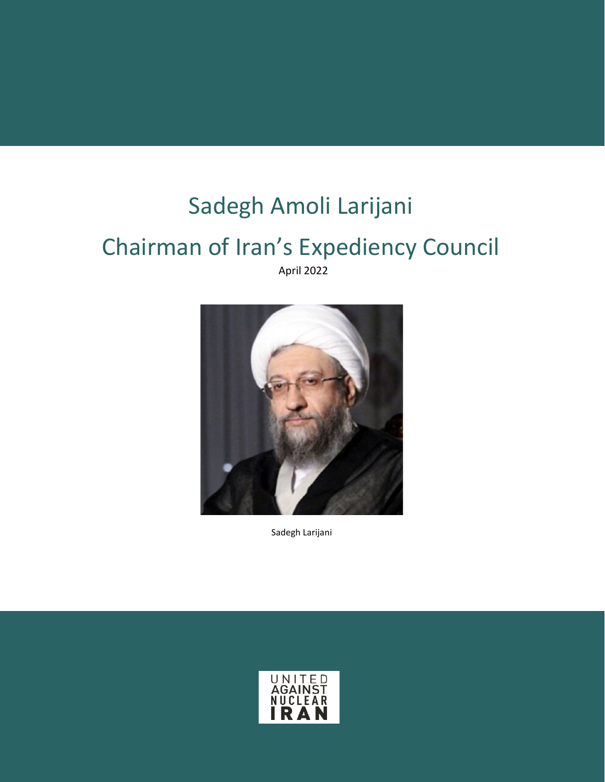# Sadegh Amoli Larijani

# Chairman of Iran's Expediency Council

April 2022



Sadegh Larijani

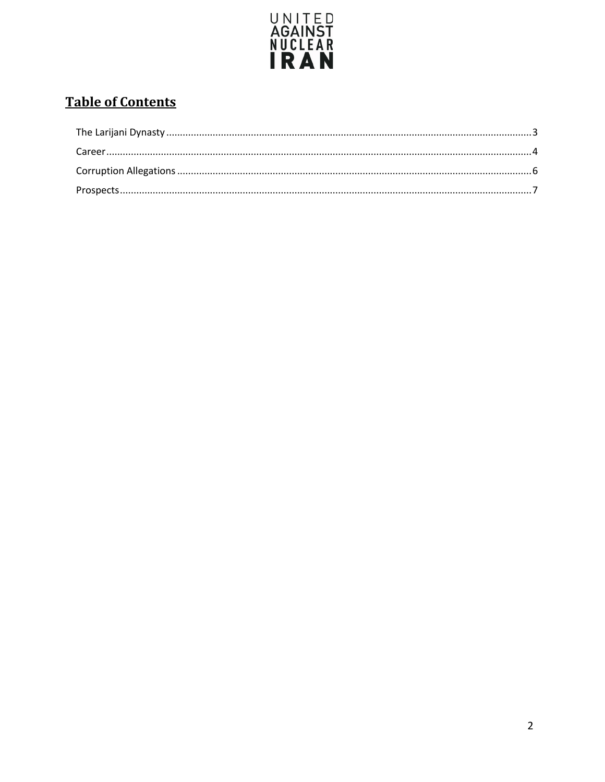

# **Table of Contents**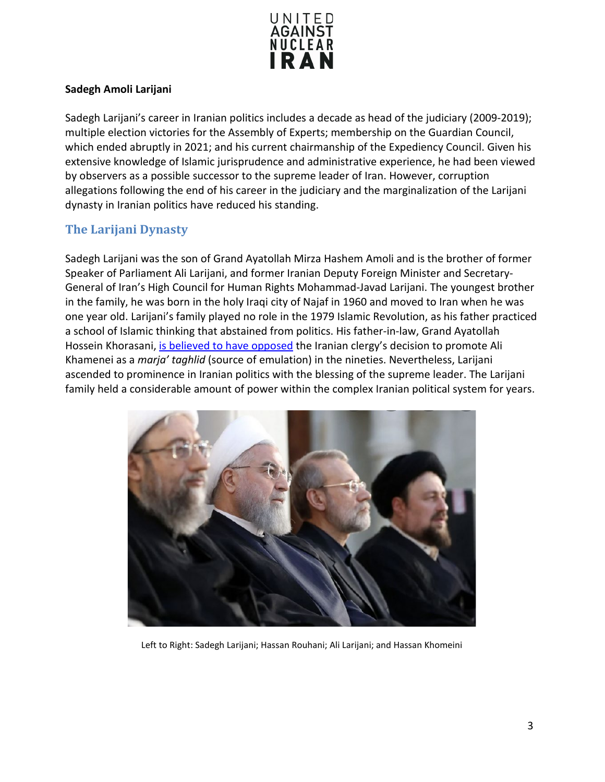

#### **Sadegh Amoli Larijani**

Sadegh Larijani's career in Iranian politics includes a decade as head of the judiciary (2009-2019); multiple election victories for the Assembly of Experts; membership on the Guardian Council, which ended abruptly in 2021; and his current chairmanship of the Expediency Council. Given his extensive knowledge of Islamic jurisprudence and administrative experience, he had been viewed by observers as a possible successor to the supreme leader of Iran. However, corruption allegations following the end of his career in the judiciary and the marginalization of the Larijani dynasty in Iranian politics have reduced his standing.

# <span id="page-2-0"></span>**The Larijani Dynasty**

Sadegh Larijani was the son of Grand Ayatollah Mirza Hashem Amoli and is the brother of former Speaker of Parliament Ali Larijani, and former Iranian Deputy Foreign Minister and Secretary-General of Iran's High Council for Human Rights Mohammad-Javad Larijani. The youngest brother in the family, he was born in the holy Iraqi city of Najaf in 1960 and moved to Iran when he was one year old. Larijani's family played no role in the 1979 Islamic Revolution, as his father practiced a school of Islamic thinking that abstained from politics. His father-in-law, Grand Ayatollah Hossein Khorasani, [is believed to have opposed](https://www.pbs.org/wgbh/pages/frontline/tehranbureau/2009/08/nepotism-the-larijani-dynasty.html) the Iranian clergy's decision to promote Ali Khamenei as a *marja' taghlid* (source of emulation) in the nineties. Nevertheless, Larijani ascended to prominence in Iranian politics with the blessing of the supreme leader. The Larijani family held a considerable amount of power within the complex Iranian political system for years.



Left to Right: Sadegh Larijani; Hassan Rouhani; Ali Larijani; and Hassan Khomeini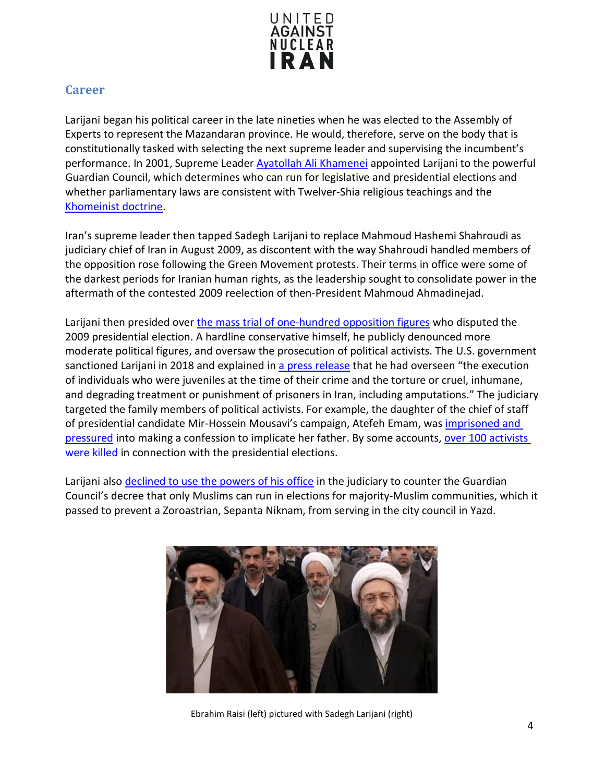

### <span id="page-3-0"></span>**Career**

Larijani began his political career in the late nineties when he was elected to the Assembly of Experts to represent the Mazandaran province. He would, therefore, serve on the body that is constitutionally tasked with selecting the next supreme leader and supervising the incumbent's performance. In 2001, Supreme Leade[r Ayatollah Ali Khamenei](https://www.unitedagainstnucleariran.com/ayatollah-ali-khamenei) appointed Larijani to the powerful Guardian Council, which determines who can run for legislative and presidential elections and whether parliamentary laws are consistent with Twelver-Shia religious teachings and the [Khomeinist doctrine.](https://www.counterextremism.com/khomeinism)

Iran's supreme leader then tapped Sadegh Larijani to replace Mahmoud Hashemi Shahroudi as judiciary chief of Iran in August 2009, as discontent with the way Shahroudi handled members of the opposition rose following the Green Movement protests. Their terms in office were some of the darkest periods for Iranian human rights, as the leadership sought to consolidate power in the aftermath of the contested 2009 reelection of then-President Mahmoud Ahmadinejad.

Larijani then presided over [the mass trial of one-hundred opposition figures](http://edition.cnn.com/2009/WORLD/meast/08/15/iran.judiciary.chief/index.html) who disputed the 2009 presidential election. A hardline conservative himself, he publicly denounced more moderate political figures, and oversaw the prosecution of political activists. The U.S. government sanctioned Larijani in 2018 and explained in [a press release](https://home.treasury.gov/news/press-releases/sm0250) that he had overseen "the execution of individuals who were juveniles at the time of their crime and the torture or cruel, inhumane, and degrading treatment or punishment of prisoners in Iran, including amputations." The judiciary targeted the family members of political activists. For example, the daughter of the chief of staff of presidential candidate Mir-Hossein Mousavi's campaign, Atefeh Emam, was *imprisoned and* [pressured](https://www.huffpost.com/entry/unforgivable-crimes-in-ir_b_278836) into making a confession to implicate her father. By some accounts, over 100 activists [were killed](https://www.youtube.com/watch?v=IzhTLhfDKEk) in connection with the presidential elections.

Larijani also [declined to use the powers of his office](https://iranwire.com/en/features/64951) in the judiciary to counter the Guardian Council's decree that only Muslims can run in elections for majority-Muslim communities, which it passed to prevent a Zoroastrian, Sepanta Niknam, from serving in the city council in Yazd.



Ebrahim Raisi (left) pictured with Sadegh Larijani (right)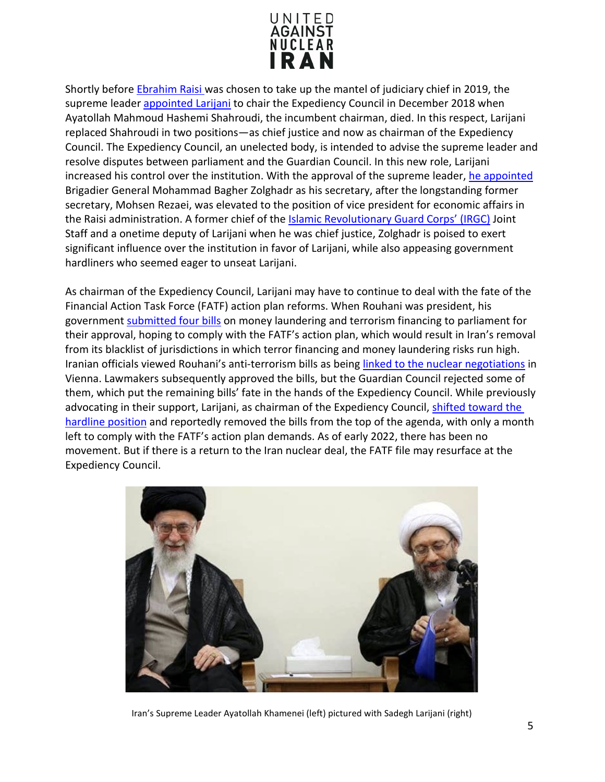

Shortly before [Ebrahim Raisi w](https://www.unitedagainstnucleariran.com/ebrahim-raisi-president-of-iran)as chosen to take up the mantel of judiciary chief in 2019, the supreme leader [appointed Larijani](https://www.reuters.com/article/us-iran-politics-larijani/hardline-cleric-larijani-named-to-head-powerful-iran-body-idUSKCN1OT0J1) to chair the Expediency Council in December 2018 when Ayatollah Mahmoud Hashemi Shahroudi, the incumbent chairman, died. In this respect, Larijani replaced Shahroudi in two positions—as chief justice and now as chairman of the Expediency Council. The Expediency Council, an unelected body, is intended to advise the supreme leader and resolve disputes between parliament and the Guardian Council. In this new role, Larijani increased his control over the institution. With the approval of the supreme leader, [he appointed](https://en.mehrnews.com/news/178844/Zolghadr-appointed-as-new-Expediency-Council-secretary) Brigadier General Mohammad Bagher Zolghadr as his secretary, after the longstanding former secretary, Mohsen Rezaei, was elevated to the position of vice president for economic affairs in the Raisi administration. A former chief of the [Islamic Revolutionary Guard Corps'](https://www.unitedagainstnucleariran.com/report/irgc-islamic-revolutionary-guard-corps) (IRGC) Joint Staff and a onetime deputy of Larijani when he was chief justice, Zolghadr is poised to exert significant influence over the institution in favor of Larijani, while also appeasing government hardliners who seemed eager to unseat Larijani.

As chairman of the Expediency Council, Larijani may have to continue to deal with the fate of the Financial Action Task Force (FATF) action plan reforms. When Rouhani was president, his government [submitted four bills](https://www.timesofisrael.com/iran-approves-bill-targeting-money-laundering-terror-financing/) on money laundering and terrorism financing to parliament for their approval, hoping to comply with the FATF's action plan, which would result in Iran's removal from its blacklist of jurisdictions in which terror financing and money laundering risks run high. Iranian officials viewed Rouhani's anti-terrorism bills as being [linked to the nuclear negotiations](https://www.aljazeera.com/news/2021/3/3/irans-fatf-debate-heats-up-as-nuclear-deal-remains-in-limbo) in Vienna. Lawmakers subsequently approved the bills, but the Guardian Council rejected some of them, which put the remaining bills' fate in the hands of the Expediency Council. While previously advocating in their support, Larijani, as chairman of the Expediency Council, [shifted toward the](https://www.al-monitor.com/originals/2019/06/iran-judiciary-expediency-council-sadegh-amoli-larijani.html)  [hardline position](https://www.al-monitor.com/originals/2019/06/iran-judiciary-expediency-council-sadegh-amoli-larijani.html) and reportedly removed the bills from the top of the agenda, with only a month left to comply with the FATF's action plan demands. As of early 2022, there has been no movement. But if there is a return to the Iran nuclear deal, the FATF file may resurface at the Expediency Council.



Iran's Supreme Leader Ayatollah Khamenei (left) pictured with Sadegh Larijani (right)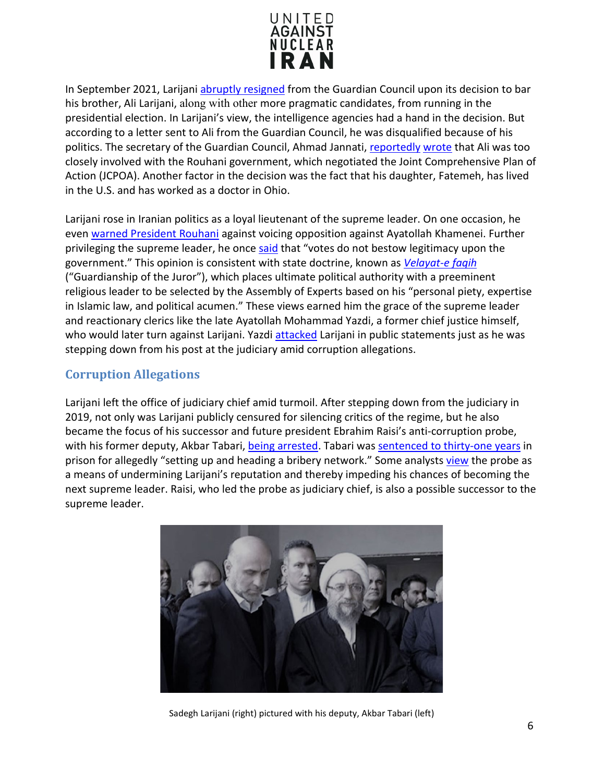

In September 2021, Larijan[i abruptly resigned](https://english.aawsat.com/home/article/3173426/larijani-resigns-iran%E2%80%99s-guardian-council) from the Guardian Council upon its decision to bar his brother, Ali Larijani, along with other more pragmatic candidates, from running in the presidential election. In Larijani's view, the intelligence agencies had a hand in the decision. But according to a letter sent to Ali from the Guardian Council, he was disqualified because of his politics. The secretary of the Guardian Council, Ahmad Jannati, [reportedly](https://iranwire.com/en/politics/71007) wrote that Ali was too closely involved with the Rouhani government, which negotiated the Joint Comprehensive Plan of Action (JCPOA). Another factor in the decision was the fact that his daughter, Fatemeh, has lived in the U.S. and has worked as a doctor in Ohio.

Larijani rose in Iranian politics as a loyal lieutenant of the supreme leader. On one occasion, he even [warned President Rouhani](https://www.aa.com.tr/en/politics/iran-president-warned-against-opposing-supreme-leader/570038) against voicing opposition against Ayatollah Khamenei. Further privileging the supreme leader, he once [said](https://www.pbs.org/wgbh/pages/frontline/tehranbureau/2009/08/nepotism-the-larijani-dynasty.html) that "votes do not bestow legitimacy upon the government." This opinion is consistent with state doctrine, known as *[Velayat-e faqih](https://www.britannica.com/place/Iran/Government-and-society#ref783951)* ("Guardianship of the Juror"), which places ultimate political authority with a preeminent religious leader to be selected by the Assembly of Experts based on his "personal piety, expertise in Islamic law, and political acumen." These views earned him the grace of the supreme leader and reactionary clerics like the late Ayatollah Mohammad Yazdi, a former chief justice himself, who would later turn against Larijani. Yazd[i attacked](https://iranwire.com/en/features/66242) Larijani in public statements just as he was stepping down from his post at the judiciary amid corruption allegations.

### <span id="page-5-0"></span>**Corruption Allegations**

Larijani left the office of judiciary chief amid turmoil. After stepping down from the judiciary in 2019, not only was Larijani publicly censured for silencing critics of the regime, but he also became the focus of his successor and future president Ebrahim Raisi's anti-corruption probe, with his former deputy, Akbar Tabari, [being arrested.](https://www.rferl.org/a/iran-larijani-judiciary-chief-corruption-attack/30127184.html) Tabari wa[s sentenced to thirty-one years](https://english.alarabiya.net/News/middle-east/2020/09/12/Iran-ex-judiciary-official-gets-31-years-in-prison-for-graft-) in prison for allegedly "setting up and heading a bribery network." Some analyst[s view](https://www.rferl.org/a/iran-larijani-judiciary-chief-corruption-attack/30127184.html) the probe as a means of undermining Larijani's reputation and thereby impeding his chances of becoming the next supreme leader. Raisi, who led the probe as judiciary chief, is also a possible successor to the supreme leader.



Sadegh Larijani (right) pictured with his deputy, Akbar Tabari (left)